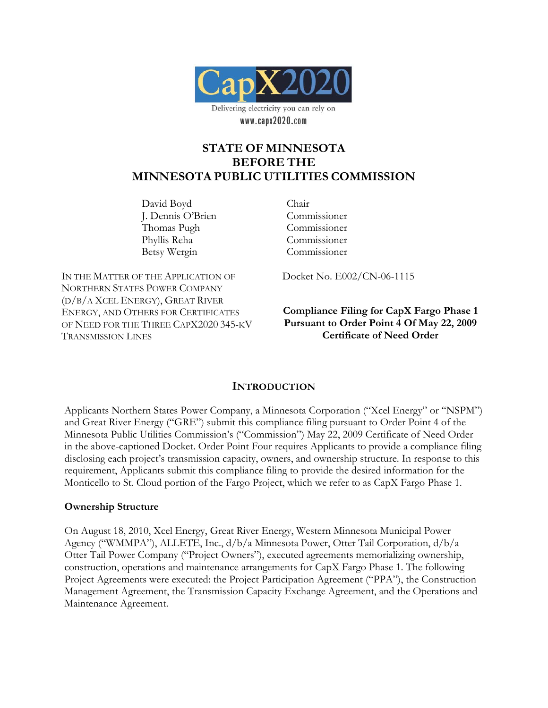

# **STATE OF MINNESOTA BEFORE THE MINNESOTA PUBLIC UTILITIES COMMISSION**

David Boyd J. Dennis O'Brien Thomas Pugh Phyllis Reha Betsy Wergin

Chair Commissioner Commissioner Commissioner Commissioner

IN THE MATTER OF THE APPLICATION OF NORTHERN STATES POWER COMPANY (D/B/A XCEL ENERGY), GREAT RIVER ENERGY, AND OTHERS FOR CERTIFICATES OF NEED FOR THE THREE CAPX2020 345-KV TRANSMISSION LINES

Docket No. E002/CN-06-1115

### **Compliance Filing for CapX Fargo Phase 1 Pursuant to Order Point 4 Of May 22, 2009 Certificate of Need Order**

## **INTRODUCTION**

Applicants Northern States Power Company, a Minnesota Corporation ("Xcel Energy" or "NSPM") and Great River Energy ("GRE") submit this compliance filing pursuant to Order Point 4 of the Minnesota Public Utilities Commission's ("Commission") May 22, 2009 Certificate of Need Order in the above-captioned Docket. Order Point Four requires Applicants to provide a compliance filing disclosing each project's transmission capacity, owners, and ownership structure. In response to this requirement, Applicants submit this compliance filing to provide the desired information for the Monticello to St. Cloud portion of the Fargo Project, which we refer to as CapX Fargo Phase 1.

#### **Ownership Structure**

On August 18, 2010, Xcel Energy, Great River Energy, Western Minnesota Municipal Power Agency ("WMMPA"), ALLETE, Inc., d/b/a Minnesota Power, Otter Tail Corporation, d/b/a Otter Tail Power Company ("Project Owners"), executed agreements memorializing ownership, construction, operations and maintenance arrangements for CapX Fargo Phase 1. The following Project Agreements were executed: the Project Participation Agreement ("PPA"), the Construction Management Agreement, the Transmission Capacity Exchange Agreement, and the Operations and Maintenance Agreement.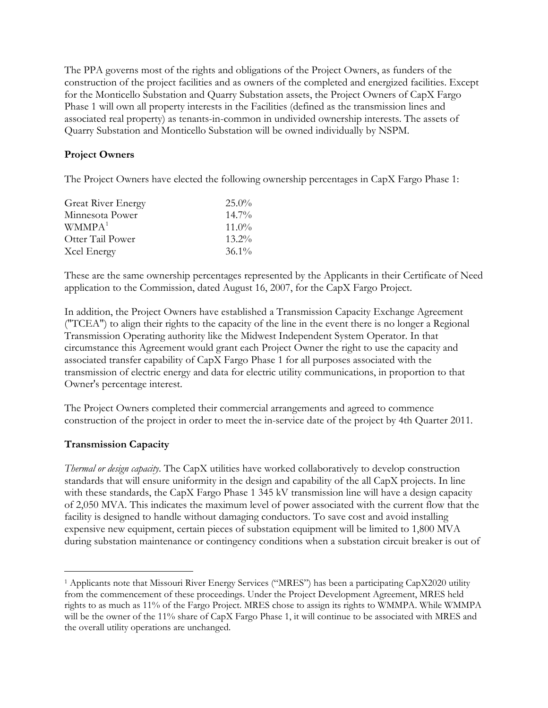The PPA governs most of the rights and obligations of the Project Owners, as funders of the construction of the project facilities and as owners of the completed and energized facilities. Except for the Monticello Substation and Quarry Substation assets, the Project Owners of CapX Fargo Phase 1 will own all property interests in the Facilities (defined as the transmission lines and associated real property) as tenants-in-common in undivided ownership interests. The assets of Quarry Substation and Monticello Substation will be owned individually by NSPM.

# **Project Owners**

The Project Owners have elected the following ownership percentages in CapX Fargo Phase 1:

| <b>Great River Energy</b> | $25.0\%$ |
|---------------------------|----------|
| Minnesota Power           | $14.7\%$ |
| WMMPA <sup>1</sup>        | $11.0\%$ |
| Otter Tail Power          | $13.2\%$ |
| Xcel Energy               | $36.1\%$ |

These are the same ownership percentages represented by the Applicants in their Certificate of Need application to the Commission, dated August 16, 2007, for the CapX Fargo Project.

In addition, the Project Owners have established a Transmission Capacity Exchange Agreement ("TCEA") to align their rights to the capacity of the line in the event there is no longer a Regional Transmission Operating authority like the Midwest Independent System Operator. In that circumstance this Agreement would grant each Project Owner the right to use the capacity and associated transfer capability of CapX Fargo Phase 1 for all purposes associated with the transmission of electric energy and data for electric utility communications, in proportion to that Owner's percentage interest.

The Project Owners completed their commercial arrangements and agreed to commence construction of the project in order to meet the in-service date of the project by 4th Quarter 2011.

## **Transmission Capacity**

 $\overline{a}$ 

*Thermal or design capacity*. The CapX utilities have worked collaboratively to develop construction standards that will ensure uniformity in the design and capability of the all CapX projects. In line with these standards, the CapX Fargo Phase 1 345 kV transmission line will have a design capacity of 2,050 MVA. This indicates the maximum level of power associated with the current flow that the facility is designed to handle without damaging conductors. To save cost and avoid installing expensive new equipment, certain pieces of substation equipment will be limited to 1,800 MVA during substation maintenance or contingency conditions when a substation circuit breaker is out of

<span id="page-1-0"></span><sup>1</sup> Applicants note that Missouri River Energy Services ("MRES") has been a participating CapX2020 utility from the commencement of these proceedings. Under the Project Development Agreement, MRES held rights to as much as 11% of the Fargo Project. MRES chose to assign its rights to WMMPA. While WMMPA will be the owner of the 11% share of CapX Fargo Phase 1, it will continue to be associated with MRES and the overall utility operations are unchanged.